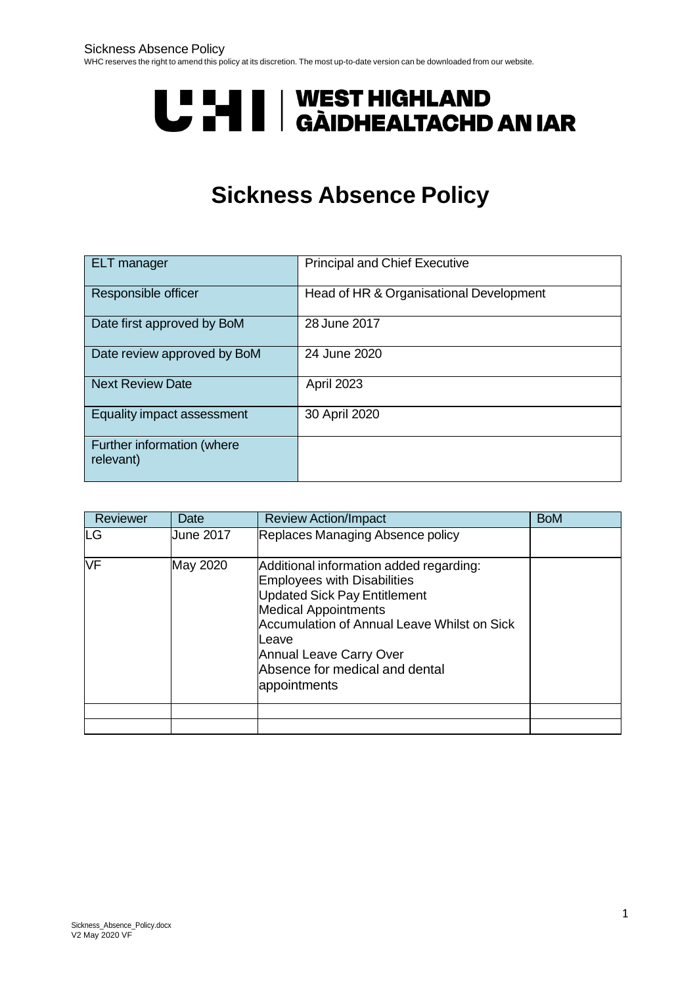# **UPAN I | WEST HIGHLAND<br>UPAN I | GÀIDHEALTACHD AN IAR**

## **Sickness Absence Policy**

| <b>ELT</b> manager                      | <b>Principal and Chief Executive</b>    |  |
|-----------------------------------------|-----------------------------------------|--|
| Responsible officer                     | Head of HR & Organisational Development |  |
| Date first approved by BoM              | 28 June 2017                            |  |
| Date review approved by BoM             | 24 June 2020                            |  |
| <b>Next Review Date</b>                 | <b>April 2023</b>                       |  |
| Equality impact assessment              | 30 April 2020                           |  |
| Further information (where<br>relevant) |                                         |  |

| Reviewer  | Date             | <b>Review Action/Impact</b>                                                                                                                                                                                                                                                                     | <b>BoM</b> |
|-----------|------------------|-------------------------------------------------------------------------------------------------------------------------------------------------------------------------------------------------------------------------------------------------------------------------------------------------|------------|
| <b>LG</b> | <b>June 2017</b> | Replaces Managing Absence policy                                                                                                                                                                                                                                                                |            |
| <b>NF</b> | May 2020         | Additional information added regarding:<br><b>Employees with Disabilities</b><br><b>Updated Sick Pay Entitlement</b><br><b>Medical Appointments</b><br>Accumulation of Annual Leave Whilst on Sick<br>Leave<br><b>Annual Leave Carry Over</b><br>Absence for medical and dental<br>appointments |            |
|           |                  |                                                                                                                                                                                                                                                                                                 |            |
|           |                  |                                                                                                                                                                                                                                                                                                 |            |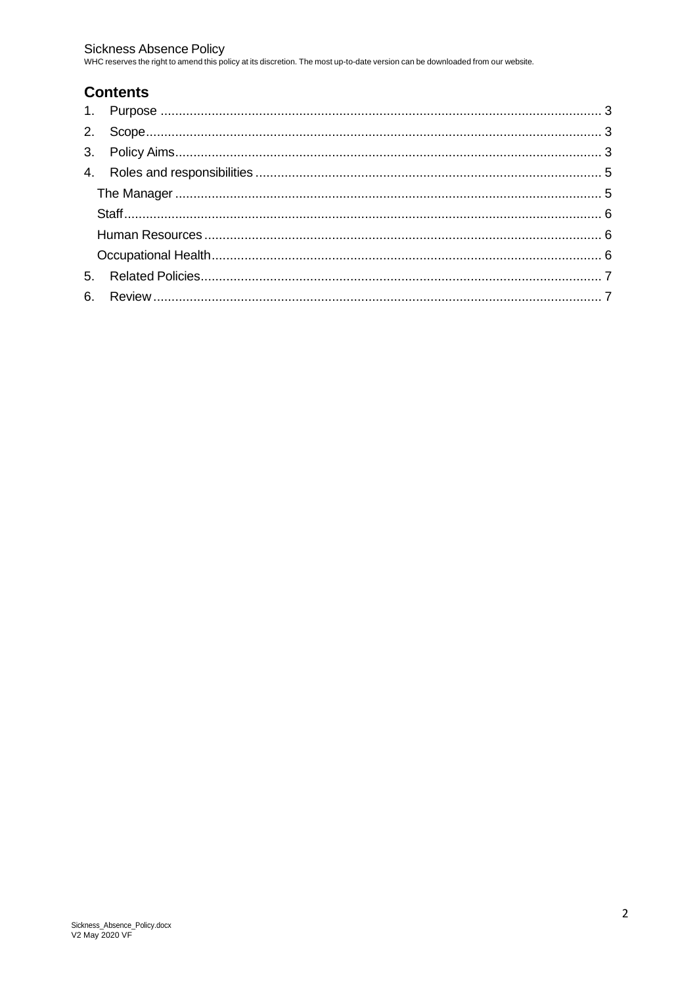Sickness Absence Policy<br>WHC reserves the right to amend this policy at its discretion. The most up-to-date version can be downloaded from our website.

### **Contents**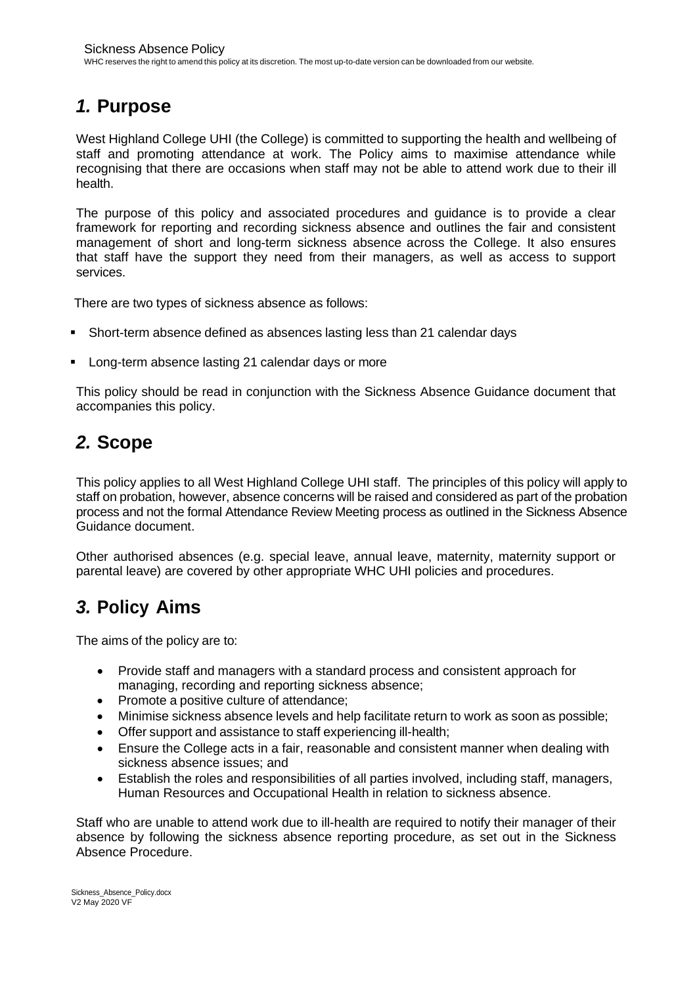## <span id="page-2-0"></span>*1.* **Purpose**

West Highland College UHI (the College) is committed to supporting the health and wellbeing of staff and promoting attendance at work. The Policy aims to maximise attendance while recognising that there are occasions when staff may not be able to attend work due to their ill health.

The purpose of this policy and associated procedures and guidance is to provide a clear framework for reporting and recording sickness absence and outlines the fair and consistent management of short and long-term sickness absence across the College. It also ensures that staff have the support they need from their managers, as well as access to support services.

There are two types of sickness absence as follows:

- Short-term absence defined as absences lasting less than 21 calendar days
- Long-term absence lasting 21 calendar days or more

This policy should be read in conjunction with the Sickness Absence Guidance document that accompanies this policy.

## <span id="page-2-1"></span>*2.* **Scope**

This policy applies to all West Highland College UHI staff. The principles of this policy will apply to staff on probation, however, absence concerns will be raised and considered as part of the probation process and not the formal Attendance Review Meeting process as outlined in the Sickness Absence Guidance document.

Other authorised absences (e.g. special leave, annual leave, maternity, maternity support or parental leave) are covered by other appropriate WHC UHI policies and procedures.

## <span id="page-2-2"></span>*3.* **Policy Aims**

The aims of the policy are to:

- Provide staff and managers with a standard process and consistent approach for managing, recording and reporting sickness absence;
- Promote a positive culture of attendance;
- Minimise sickness absence levels and help facilitate return to work as soon as possible;
- Offer support and assistance to staff experiencing ill-health;
- Ensure the College acts in a fair, reasonable and consistent manner when dealing with sickness absence issues; and
- Establish the roles and responsibilities of all parties involved, including staff, managers, Human Resources and Occupational Health in relation to sickness absence.

Staff who are unable to attend work due to ill-health are required to notify their manager of their absence by following the sickness absence reporting procedure, as set out in the Sickness Absence Procedure.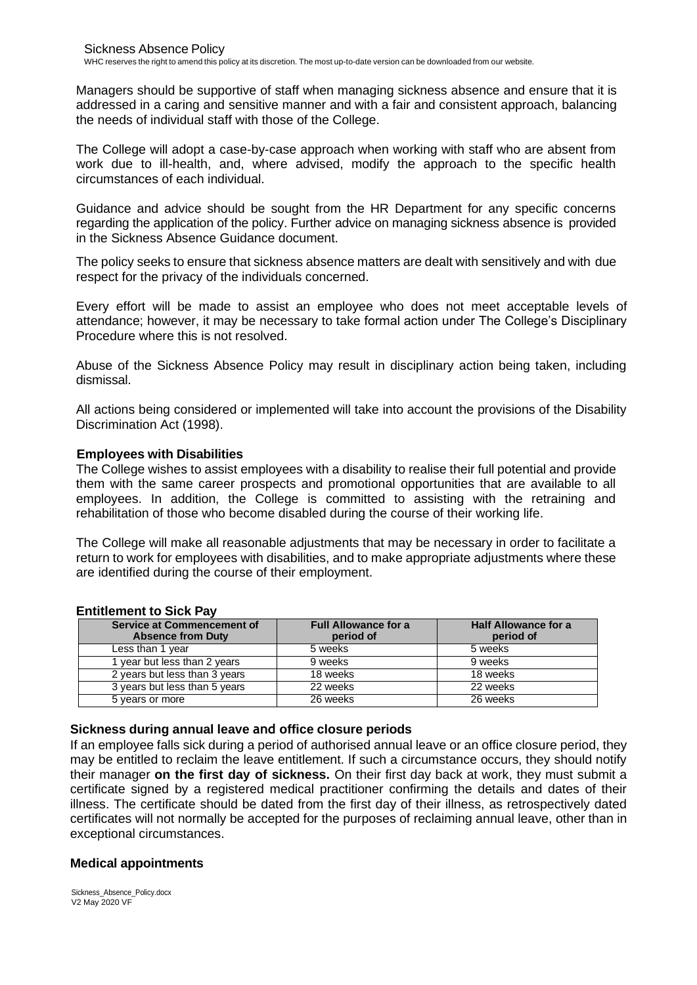Managers should be supportive of staff when managing sickness absence and ensure that it is addressed in a caring and sensitive manner and with a fair and consistent approach, balancing the needs of individual staff with those of the College.

The College will adopt a case-by-case approach when working with staff who are absent from work due to ill-health, and, where advised, modify the approach to the specific health circumstances of each individual.

Guidance and advice should be sought from the HR Department for any specific concerns regarding the application of the policy. Further advice on managing sickness absence is provided in the Sickness Absence Guidance document.

The policy seeks to ensure that sickness absence matters are dealt with sensitively and with due respect for the privacy of the individuals concerned.

Every effort will be made to assist an employee who does not meet acceptable levels of attendance; however, it may be necessary to take formal action under The College's Disciplinary Procedure where this is not resolved.

Abuse of the Sickness Absence Policy may result in disciplinary action being taken, including dismissal.

All actions being considered or implemented will take into account the provisions of the Disability Discrimination Act (1998).

#### **Employees with Disabilities**

The College wishes to assist employees with a disability to realise their full potential and provide them with the same career prospects and promotional opportunities that are available to all employees. In addition, the College is committed to assisting with the retraining and rehabilitation of those who become disabled during the course of their working life.

The College will make all reasonable adjustments that may be necessary in order to facilitate a return to work for employees with disabilities, and to make appropriate adjustments where these are identified during the course of their employment.

| __________________________                                    |                                          |                                          |  |  |  |  |
|---------------------------------------------------------------|------------------------------------------|------------------------------------------|--|--|--|--|
| <b>Service at Commencement of</b><br><b>Absence from Duty</b> | <b>Full Allowance for a</b><br>period of | <b>Half Allowance for a</b><br>period of |  |  |  |  |
| Less than 1 year                                              | 5 weeks                                  | 5 weeks                                  |  |  |  |  |
| I year but less than 2 years                                  | 9 weeks                                  | 9 weeks                                  |  |  |  |  |
| 2 years but less than 3 years                                 | 18 weeks                                 | 18 weeks                                 |  |  |  |  |
| 3 years but less than 5 years                                 | 22 weeks                                 | 22 weeks                                 |  |  |  |  |
| 5 years or more                                               | 26 weeks                                 | 26 weeks                                 |  |  |  |  |

#### **Entitlement to Sick Pay**

#### **Sickness during annual leave and office closure periods**

If an employee falls sick during a period of authorised annual leave or an office closure period, they may be entitled to reclaim the leave entitlement. If such a circumstance occurs, they should notify their manager **on the first day of sickness.** On their first day back at work, they must submit a certificate signed by a registered medical practitioner confirming the details and dates of their illness. The certificate should be dated from the first day of their illness, as retrospectively dated certificates will not normally be accepted for the purposes of reclaiming annual leave, other than in exceptional circumstances.

#### **Medical appointments**

Sickness\_Absence\_Policy.docx V2 May 2020 VF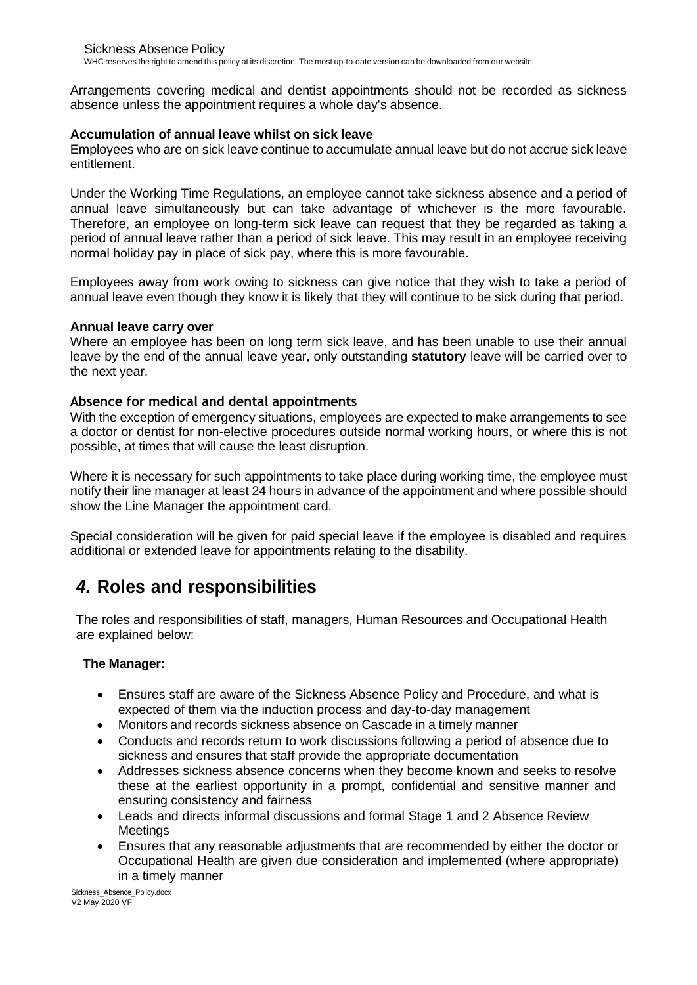Arrangements covering medical and dentist appointments should not be recorded as sickness absence unless the appointment requires a whole day's absence.

#### **Accumulation of annual leave whilst on sick leave**

Employees who are on sick leave continue to accumulate annual leave but do not accrue sick leave entitlement.

Under the Working Time Regulations, an employee cannot take sickness absence and a period of annual leave simultaneously but can take advantage of whichever is the more favourable. Therefore, an employee on long-term sick leave can request that they be regarded as taking a period of annual leave rather than a period of sick leave. This may result in an employee receiving normal holiday pay in place of sick pay, where this is more favourable.

Employees away from work owing to sickness can give notice that they wish to take a period of annual leave even though they know it is likely that they will continue to be sick during that period.

#### **Annual leave carry over**

Where an employee has been on long term sick leave, and has been unable to use their annual leave by the end of the annual leave year, only outstanding **statutory** leave will be carried over to the next year.

#### **Absence for medical and dental appointments**

With the exception of emergency situations, employees are expected to make arrangements to see a doctor or dentist for non-elective procedures outside normal working hours, or where this is not possible, at times that will cause the least disruption.

Where it is necessary for such appointments to take place during working time, the employee must notify their line manager at least 24 hours in advance of the appointment and where possible should show the Line Manager the appointment card.

Special consideration will be given for paid special leave if the employee is disabled and requires additional or extended leave for appointments relating to the disability.

## <span id="page-4-0"></span>*4.* **Roles and responsibilities**

The roles and responsibilities of staff, managers, Human Resources and Occupational Health are explained below:

#### <span id="page-4-1"></span>**The Manager:**

- Ensures staff are aware of the Sickness Absence Policy and Procedure, and what is expected of them via the induction process and day-to-day management
- Monitors and records sickness absence on Cascade in a timely manner
- Conducts and records return to work discussions following a period of absence due to sickness and ensures that staff provide the appropriate documentation
- Addresses sickness absence concerns when they become known and seeks to resolve these at the earliest opportunity in a prompt, confidential and sensitive manner and ensuring consistency and fairness
- Leads and directs informal discussions and formal Stage 1 and 2 Absence Review **Meetings**
- Ensures that any reasonable adjustments that are recommended by either the doctor or Occupational Health are given due consideration and implemented (where appropriate) in a timely manner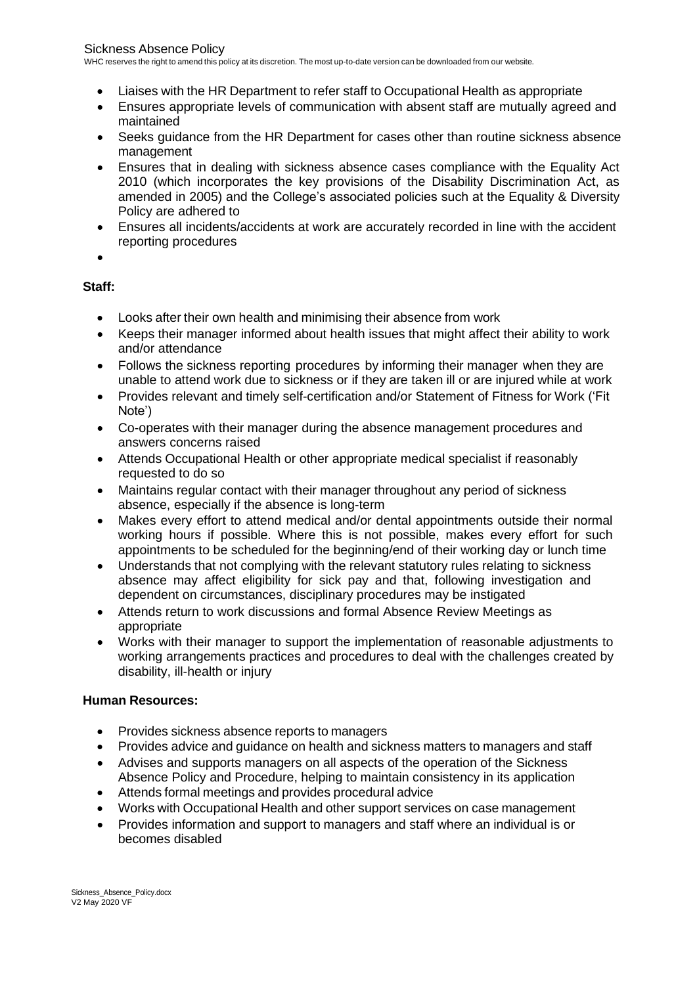<span id="page-5-2"></span>WHC reserves the right to amend this policy at its discretion. The most up-to-date version can be downloaded from our website.

- Liaises with the HR Department to refer staff to Occupational Health as appropriate
- Ensures appropriate levels of communication with absent staff are mutually agreed and maintained
- Seeks guidance from the HR Department for cases other than routine sickness absence management
- Ensures that in dealing with sickness absence cases compliance with the Equality Act 2010 (which incorporates the key provisions of the Disability Discrimination Act, as amended in 2005) and the College's associated policies such at the Equality & Diversity Policy are adhered to
- Ensures all incidents/accidents at work are accurately recorded in line with the accident reporting procedures
- •

#### <span id="page-5-0"></span>**Staff:**

- Looks after their own health and minimising their absence from work
- Keeps their manager informed about health issues that might affect their ability to work and/or attendance
- Follows the sickness reporting procedures by informing their manager when they are unable to attend work due to sickness or if they are taken ill or are injured while at work
- Provides relevant and timely self-certification and/or Statement of Fitness for Work ('Fit Note')
- Co-operates with their manager during the absence management procedures and answers concerns raised
- Attends Occupational Health or other appropriate medical specialist if reasonably requested to do so
- Maintains regular contact with their manager throughout any period of sickness absence, especially if the absence is long-term
- Makes every effort to attend medical and/or dental appointments outside their normal working hours if possible. Where this is not possible, makes every effort for such appointments to be scheduled for the beginning/end of their working day or lunch time
- Understands that not complying with the relevant statutory rules relating to sickness absence may affect eligibility for sick pay and that, following investigation and dependent on circumstances, disciplinary procedures may be instigated
- Attends return to work discussions and formal Absence Review Meetings as appropriate
- Works with their manager to support the implementation of reasonable adjustments to working arrangements practices and procedures to deal with the challenges created by disability, ill-health or injury

#### <span id="page-5-1"></span>**Human Resources:**

- Provides sickness absence reports to managers
- Provides advice and guidance on health and sickness matters to managers and staff
- Advises and supports managers on all aspects of the operation of the Sickness Absence Policy and Procedure, helping to maintain consistency in its application
- Attends formal meetings and provides procedural advice
- Works with Occupational Health and other support services on case management
- Provides information and support to managers and staff where an individual is or becomes disabled

Sickness\_Absence\_Policy.docx V2 May 2020 VF